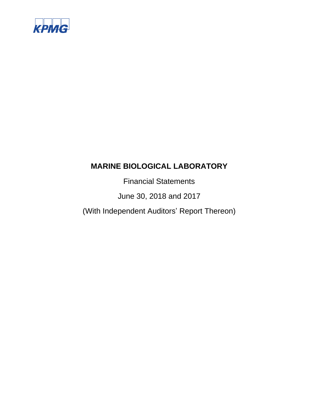

Financial Statements

June 30, 2018 and 2017

(With Independent Auditors' Report Thereon)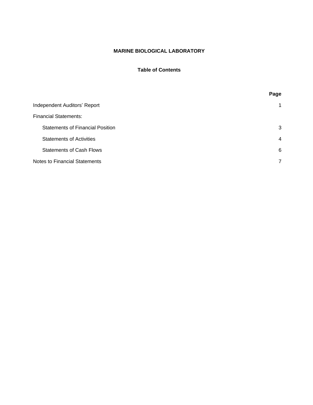# **Table of Contents**

|                                         | Page           |
|-----------------------------------------|----------------|
| Independent Auditors' Report            | 1              |
| <b>Financial Statements:</b>            |                |
| <b>Statements of Financial Position</b> | 3              |
| <b>Statements of Activities</b>         | $\overline{4}$ |
| <b>Statements of Cash Flows</b>         | 6              |
| Notes to Financial Statements           | 7              |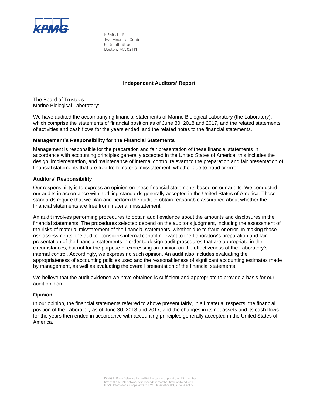

KPMG LLP Two Financial Center 60 South Street Boston, MA 02111

# **Independent Auditors' Report**

The Board of Trustees Marine Biological Laboratory:

We have audited the accompanying financial statements of Marine Biological Laboratory (the Laboratory), which comprise the statements of financial position as of June 30, 2018 and 2017, and the related statements of activities and cash flows for the years ended, and the related notes to the financial statements.

# **Management's Responsibility for the Financial Statements**

Management is responsible for the preparation and fair presentation of these financial statements in accordance with accounting principles generally accepted in the United States of America; this includes the design, implementation, and maintenance of internal control relevant to the preparation and fair presentation of financial statements that are free from material misstatement, whether due to fraud or error.

# **Auditors' Responsibility**

Our responsibility is to express an opinion on these financial statements based on our audits. We conducted our audits in accordance with auditing standards generally accepted in the United States of America. Those standards require that we plan and perform the audit to obtain reasonable assurance about whether the financial statements are free from material misstatement.

An audit involves performing procedures to obtain audit evidence about the amounts and disclosures in the financial statements. The procedures selected depend on the auditor's judgment, including the assessment of the risks of material misstatement of the financial statements, whether due to fraud or error. In making those risk assessments, the auditor considers internal control relevant to the Laboratory's preparation and fair presentation of the financial statements in order to design audit procedures that are appropriate in the circumstances, but not for the purpose of expressing an opinion on the effectiveness of the Laboratory's internal control. Accordingly, we express no such opinion. An audit also includes evaluating the appropriateness of accounting policies used and the reasonableness of significant accounting estimates made by management, as well as evaluating the overall presentation of the financial statements.

We believe that the audit evidence we have obtained is sufficient and appropriate to provide a basis for our audit opinion.

#### **Opinion**

In our opinion, the financial statements referred to above present fairly, in all material respects, the financial position of the Laboratory as of June 30, 2018 and 2017, and the changes in its net assets and its cash flows for the years then ended in accordance with accounting principles generally accepted in the United States of America.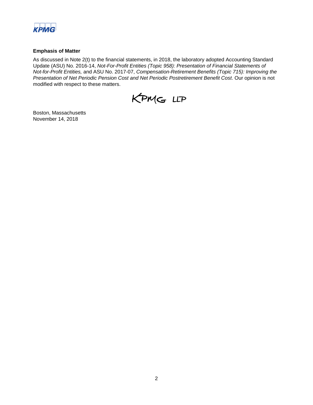

## **Emphasis of Matter**

As discussed in Note 2(t) to the financial statements, in 2018, the laboratory adopted Accounting Standard Update (ASU) No. 2016-14, *Not-For-Profit Entities (Topic 958): Presentation of Financial Statements of Not-for-Profit Entities,* and ASU No. 2017-07, *Compensation-Retirement Benefits (Topic 715): Improving the Presentation of Net Periodic Pension Cost and Net Periodic Postretirement Benefit Cost*. Our opinion is not modified with respect to these matters.



Boston, Massachusetts November 14, 2018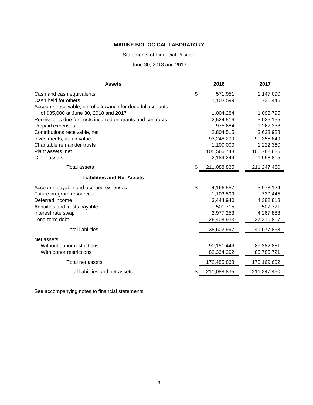Statements of Financial Position

June 30, 2018 and 2017

| <b>Assets</b>                                               | 2018              | 2017        |
|-------------------------------------------------------------|-------------------|-------------|
| Cash and cash equivalents                                   | \$<br>571,951     | 1,147,090   |
| Cash held for others                                        | 1,103,599         | 730,445     |
| Accounts receivable, net of allowance for doubtful accounts |                   |             |
| of \$35,000 at June 30, 2018 and 2017                       | 1,004,284         | 1,093,795   |
| Receivables due for costs incurred on grants and contracts  | 2,524,516         | 3,025,155   |
| Prepaid expenses                                            | 975,684           | 1,267,338   |
| Contributions receivable, net                               | 2,804,515         | 3,623,928   |
| Investments, at fair value                                  | 93,248,299        | 90,355,849  |
| Charitable remainder trusts                                 | 1,100,000         | 1,222,360   |
| Plant assets, net                                           | 105,566,743       | 106,782,685 |
| Other assets                                                | 2,189,244         | 1,998,815   |
| <b>Total assets</b>                                         | \$<br>211,088,835 | 211,247,460 |
| <b>Liabilities and Net Assets</b>                           |                   |             |
| Accounts payable and accrued expenses                       | \$<br>4,166,557   | 3,978,124   |
| Future program resources                                    | 1,103,599         | 730,445     |
| Deferred income                                             | 3,444,940         | 4,382,818   |
| Annuities and trusts payable                                | 501,715           | 507,771     |
| Interest rate swap                                          | 2,977,253         | 4,267,883   |
| Long-term debt                                              | 26,408,933        | 27,210,817  |
| <b>Total liabilities</b>                                    | 38,602,997        | 41,077,858  |
| Net assets:                                                 |                   |             |
| Without donor restrictions                                  | 90,151,446        | 89,382,881  |
| With donor restrictions                                     | 82,334,392        | 80,786,721  |
| Total net assets                                            | 172,485,838       | 170,169,602 |
| Total liabilities and net assets                            | \$<br>211,088,835 | 211,247,460 |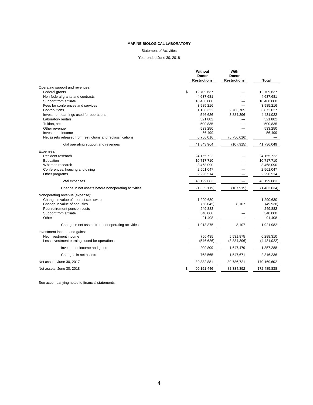4

# **MARINE BIOLOGICAL LABORATORY**

# Statement of Activities

# Year ended June 30, 2018

|                                                             | <b>Without</b><br><b>Donor</b> | With<br><b>Donor</b> |              |
|-------------------------------------------------------------|--------------------------------|----------------------|--------------|
|                                                             | <b>Restrictions</b>            | <b>Restrictions</b>  | <b>Total</b> |
| Operating support and revenues:                             |                                |                      |              |
| Federal grants                                              | \$<br>12,709,637               |                      | 12,709,637   |
| Non-federal grants and contracts                            | 4,637,681                      |                      | 4,637,681    |
| Support from affiliate                                      | 10,488,000                     |                      | 10,488,000   |
| Fees for conferences and services                           | 3,985,216                      |                      | 3,985,216    |
| Contributions                                               | 1,108,322                      | 2,763,705            | 3,872,027    |
| Investment earnings used for operations                     | 546,626                        | 3,884,396            | 4,431,022    |
| Laboratory rentals                                          | 521,882                        |                      | 521,882      |
| Tuition, net                                                | 500,835                        |                      | 500,835      |
| Other revenue                                               | 533,250                        |                      | 533,250      |
| Investment income                                           | 56,499                         |                      | 56,499       |
| Net assets released from restrictions and reclassifications | 6,756,016                      | (6,756,016)          |              |
| Total operating support and revenues                        | 41,843,964                     | (107, 915)           | 41,736,049   |
| Expenses:                                                   |                                |                      |              |
| Resident research                                           | 24, 155, 722                   |                      | 24, 155, 722 |
| Education                                                   | 10,717,710                     |                      | 10,717,710   |
| Whitman research                                            | 3,468,090                      |                      | 3,468,090    |
| Conferences, housing and dining                             | 2,561,047                      |                      | 2,561,047    |
| Other programs                                              | 2,296,514                      |                      | 2,296,514    |
| Total expenses                                              | 43,199,083                     |                      | 43,199,083   |
| Change in net assets before nonoperating activities         | (1,355,119)                    | (107, 915)           | (1,463,034)  |
| Nonoperating revenue (expense):                             |                                |                      |              |
| Change in value of interest rate swap                       | 1,290,630                      |                      | 1,290,630    |
| Change in value of annuities                                | (58, 045)                      | 8,107                | (49, 938)    |
| Post retirement pension costs                               | 249,882                        |                      | 249,882      |
| Support from affiliate                                      | 340,000                        |                      | 340,000      |
| Other                                                       | 91,408                         |                      | 91,408       |
| Change in net assets from nonoperating activities           | 1,913,875                      | 8,107                | 1,921,982    |
| Investment income and gains:                                |                                |                      |              |
| Net investment income                                       | 756,435                        | 5,531,875            | 6,288,310    |
| Less investment earnings used for operations                | (546, 626)                     | (3,884,396)          | (4,431,022)  |
| Investment income and gains                                 | 209,809                        | 1,647,479            | 1,857,288    |
| Changes in net assets                                       | 768,565                        | 1,547,671            | 2,316,236    |
| Net assets, June 30, 2017                                   | 89,382,881                     | 80,786,721           | 170,169,602  |
| Net assets, June 30, 2018                                   | \$<br>90,151,446               | 82,334,392           | 172,485,838  |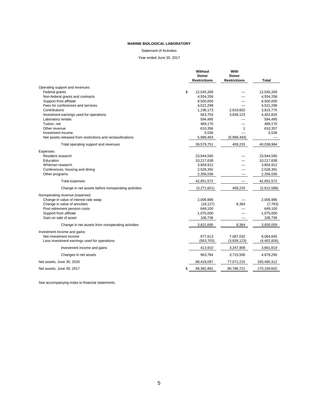5

# **MARINE BIOLOGICAL LABORATORY**

# Statement of Activities

# Year ended June 30, 2017

|                                                             | <b>Without</b>                      | With                                |              |
|-------------------------------------------------------------|-------------------------------------|-------------------------------------|--------------|
|                                                             | <b>Donor</b><br><b>Restrictions</b> | <b>Donor</b><br><b>Restrictions</b> | <b>Total</b> |
|                                                             |                                     |                                     |              |
| Operating support and revenues:                             |                                     |                                     |              |
| Federal grants                                              | \$<br>12,545,269                    |                                     | 12,545,269   |
| Non-federal grants and contracts                            | 4,554,258                           |                                     | 4,554,258    |
| Support from affiliate                                      | 8,500,000                           |                                     | 8,500,000    |
| Fees for conferences and services                           | 4,521,298                           |                                     | 4,521,298    |
| Contributions                                               | 1,196,173                           | 2,619,602                           | 3,815,775    |
| Investment earnings used for operations                     | 563,703                             | 3,839,123                           | 4,402,826    |
| Laboratory rentals                                          | 594,495                             |                                     | 594,495      |
| Tuition, net                                                | 489,170                             |                                     | 489,170      |
| Other revenue                                               | 610,356                             |                                     | 610,357      |
| Investment income                                           | 5,536                               |                                     | 5,536        |
| Net assets released from restrictions and reclassifications | 5,999,493                           | (5,999,493)                         |              |
| Total operating support and revenues                        | 39,579,751                          | 459,233                             | 40,038,984   |
| Expenses:                                                   |                                     |                                     |              |
| Resident research                                           | 23,944,595                          |                                     | 23,944,595   |
| Education                                                   | 10,217,638                          |                                     | 10,217,638   |
| Whitman research                                            | 3,804,912                           |                                     | 3,804,912    |
| Conferences, housing and dining                             | 2,528,391                           |                                     | 2,528,391    |
| Other programs                                              | 2,356,036                           |                                     | 2,356,036    |
| Total expenses                                              | 42,851,572                          |                                     | 42,851,572   |
| Change in net assets before nonoperating activities         | (3,271,821)                         | 459,233                             | (2,812,588)  |
| Nonoperating revenue (expense):                             |                                     |                                     |              |
| Change in value of interest rate swap                       | 2,006,986                           |                                     | 2,006,986    |
| Change in value of annuities                                | (16, 127)                           | 8,364                               | (7, 763)     |
| Post retirement pension costs                               | 649,100                             |                                     | 649,100      |
| Support from affiliate                                      | 1,075,000                           |                                     | 1,075,000    |
| Gain on sale of asset                                       | 106,736                             |                                     | 106,736      |
| Change in net assets from nonoperating activities           | 3,821,695                           | 8,364                               | 3,830,059    |
| Investment income and gains:                                |                                     |                                     |              |
| Net investment income                                       | 977,613                             | 7,087,032                           | 8,064,645    |
| Less investment earnings used for operations                | (563, 703)                          | (3,839,123)                         | (4,402,826)  |
| Investment income and gains                                 | 413,910                             | 3,247,909                           | 3,661,819    |
| Changes in net assets                                       | 963,784                             | 3,715,506                           | 4,679,290    |
| Net assets, June 30, 2016                                   | 88,419,097                          | 77,071,215                          | 165,490,312  |
| Net assets, June 30, 2017                                   | \$<br>89,382,881                    | 80,786,721                          | 170,169,602  |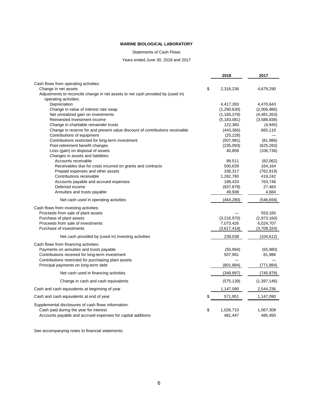# Statements of Cash Flows

Years ended June 30, 2018 and 2017

|                                                                                 | 2018            | 2017          |
|---------------------------------------------------------------------------------|-----------------|---------------|
| Cash flows from operating activities:                                           |                 |               |
| Change in net assets                                                            | \$<br>2,316,236 | 4,679,290     |
| Adjustments to reconcile change in net assets to net cash provided by (used in) |                 |               |
| operating activities:                                                           |                 |               |
| Depreciation                                                                    | 4,417,283       | 4,470,643     |
| Change in value of interest rate swap                                           | (1,290,630)     | (2,006,986)   |
| Net unrealized gain on investments                                              | (1, 165, 378)   | (4,481,263)   |
| Reinvested investment income                                                    | (5, 183, 081)   | (3,588,838)   |
| Change in charitable remainder trusts                                           | 122,360         | (4, 945)      |
| Change in reserve for and present value discount of contributions receivable    | (443, 366)      | 665,110       |
| Contributions of equipment                                                      | (25, 228)       |               |
| Contributions restricted for long-term investment                               | (507, 981)      | (81,986)      |
| Post-retirement benefit changes                                                 | (235,093)       | (625, 283)    |
| Loss (gain) on disposal of assets                                               | 40,858          | (106, 736)    |
| Changes in assets and liabilities:                                              |                 |               |
| Accounts receivable                                                             | 89,511          | (82,062)      |
| Receivables due for costs incurred on grants and contracts                      | 500,639         | 164,164       |
| Prepaid expenses and other assets                                               | 336,317         | (762, 919)    |
| Contributions receivable                                                        | 1,262,780       | 419,242       |
| Accounts payable and accrued expenses                                           | 188,433         | 763,746       |
| Deferred income                                                                 | (937, 878)      | 27,483        |
| Annuities and trusts payable                                                    | 49,938          | 4,684         |
| Net cash used in operating activities                                           | (464, 280)      | (546, 656)    |
| Cash flows from investing activities:                                           |                 |               |
| Proceeds from sale of plant assets                                              |                 | 553,165       |
| Purchase of plant assets                                                        | (3,216,970)     | (2,973,160)   |
| Proceeds from sale of investments                                               | 7,073,426       | 6,024,707     |
| Purchase of investments                                                         | (3,617,418)     | (3,709,324)   |
| Net cash provided by (used in) investing activities                             | 239,038         | (104, 612)    |
| Cash flows from financing activities:                                           |                 |               |
| Payments on annuities and trusts payable                                        | (55, 994)       | (55,980)      |
| Contributions received for long-term investment                                 | 507,981         | 81,986        |
| Contributions restricted for purchasing plant assets                            |                 |               |
| Principal payments on long-term debt                                            | (801, 884)      | (771, 884)    |
| Net cash used in financing activities                                           | (349, 897)      | (745, 878)    |
| Change in cash and cash equivalents                                             | (575, 139)      | (1, 397, 146) |
| Cash and cash equivalents at beginning of year                                  | 1,147,090       | 2,544,236     |
| Cash and cash equivalents at end of year                                        | 571,951         | 1,147,090     |
| Supplemental disclosures of cash flows information:                             |                 |               |
| Cash paid during the year for interest                                          | \$<br>1,026,710 | 1,067,308     |
| Accounts payable and accrued expenses for capital additions                     | 481,447         | 485,450       |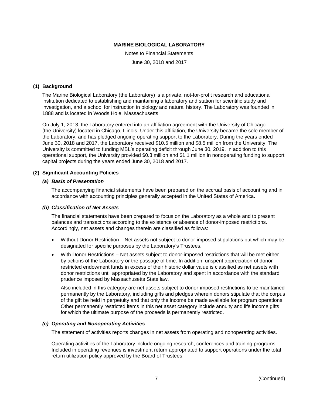Notes to Financial Statements June 30, 2018 and 2017

**(1) Background**

The Marine Biological Laboratory (the Laboratory) is a private, not-for-profit research and educational institution dedicated to establishing and maintaining a laboratory and station for scientific study and investigation, and a school for instruction in biology and natural history. The Laboratory was founded in 1888 and is located in Woods Hole, Massachusetts.

On July 1, 2013, the Laboratory entered into an affiliation agreement with the University of Chicago (the University) located in Chicago, Illinois. Under this affiliation, the University became the sole member of the Laboratory, and has pledged ongoing operating support to the Laboratory. During the years ended June 30, 2018 and 2017, the Laboratory received \$10.5 million and \$8.5 million from the University. The University is committed to funding MBL's operating deficit through June 30, 2019. In addition to this operational support, the University provided \$0.3 million and \$1.1 million in nonoperating funding to support capital projects during the years ended June 30, 2018 and 2017.

#### **(2) Significant Accounting Policies**

#### *(a) Basis of Presentation*

The accompanying financial statements have been prepared on the accrual basis of accounting and in accordance with accounting principles generally accepted in the United States of America.

#### *(b) Classification of Net Assets*

The financial statements have been prepared to focus on the Laboratory as a whole and to present balances and transactions according to the existence or absence of donor-imposed restrictions. Accordingly, net assets and changes therein are classified as follows:

- Without Donor Restriction Net assets not subject to donor-imposed stipulations but which may be designated for specific purposes by the Laboratory's Trustees.
- With Donor Restrictions Net assets subject to donor-imposed restrictions that will be met either by actions of the Laboratory or the passage of time. In addition, unspent appreciation of donor restricted endowment funds in excess of their historic dollar value is classified as net assets with donor restrictions until appropriated by the Laboratory and spent in accordance with the standard prudence imposed by Massachusetts State law.

Also included in this category are net assets subject to donor-imposed restrictions to be maintained permanently by the Laboratory, including gifts and pledges wherein donors stipulate that the corpus of the gift be held in perpetuity and that only the income be made available for program operations. Other permanently restricted items in this net asset category include annuity and life income gifts for which the ultimate purpose of the proceeds is permanently restricted.

#### *(c) Operating and Nonoperating Activities*

The statement of activities reports changes in net assets from operating and nonoperating activities.

Operating activities of the Laboratory include ongoing research, conferences and training programs. Included in operating revenues is investment return appropriated to support operations under the total return utilization policy approved by the Board of Trustees.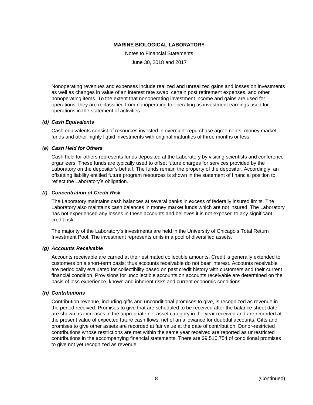Notes to Financial Statements

June 30, 2018 and 2017

Nonoperating revenues and expenses include realized and unrealized gains and losses on investments as well as changes in value of an interest rate swap, certain post retirement expenses, and other nonoperating items. To the extent that nonoperating investment income and gains are used for operations, they are reclassified from nonoperating to operating as investment earnings used for operations in the statement of activities.

#### *(d) Cash Equivalents*

Cash equivalents consist of resources invested in overnight repurchase agreements, money market funds and other highly liquid investments with original maturities of three months or less.

#### *(e) Cash Held for Others*

Cash held for others represents funds deposited at the Laboratory by visiting scientists and conference organizers. These funds are typically used to offset future charges for services provided by the Laboratory on the depositor's behalf. The funds remain the property of the depositor. Accordingly, an offsetting liability entitled future program resources is shown in the statement of financial position to reflect the Laboratory's obligation.

# *(f) Concentration of Credit Risk*

The Laboratory maintains cash balances at several banks in excess of federally insured limits. The Laboratory also maintains cash balances in money market funds which are not insured. The Laboratory has not experienced any losses in these accounts and believes it is not exposed to any significant credit risk.

The majority of the Laboratory's investments are held in the University of Chicago's Total Return Investment Pool. The investment represents units in a pool of diversified assets.

#### *(g) Accounts Receivable*

Accounts receivable are carried at their estimated collectible amounts. Credit is generally extended to customers on a short-term basis; thus accounts receivable do not bear interest. Accounts receivable are periodically evaluated for collectibility based on past credit history with customers and their current financial condition. Provisions for uncollectible accounts on accounts receivable are determined on the basis of loss experience, known and inherent risks and current economic conditions.

#### *(h) Contributions*

Contribution revenue, including gifts and unconditional promises to give, is recognized as revenue in the period received. Promises to give that are scheduled to be received after the balance sheet date are shown as increases in the appropriate net asset category in the year received and are recorded at the present value of expected future cash flows, net of an allowance for doubtful accounts. Gifts and promises to give other assets are recorded at fair value at the date of contribution. Donor-restricted contributions whose restrictions are met within the same year received are reported as unrestricted contributions in the accompanying financial statements. There are \$9,510,754 of conditional promises to give not yet recognized as revenue.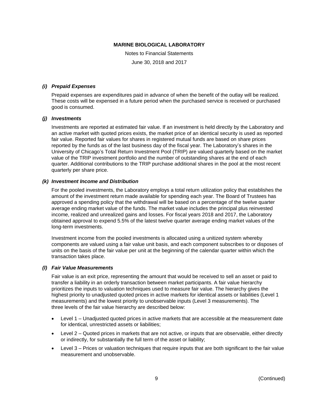Notes to Financial Statements

June 30, 2018 and 2017

#### *(i) Prepaid Expenses*

Prepaid expenses are expenditures paid in advance of when the benefit of the outlay will be realized. These costs will be expensed in a future period when the purchased service is received or purchased good is consumed.

#### *(j) Investments*

Investments are reported at estimated fair value. If an investment is held directly by the Laboratory and an active market with quoted prices exists, the market price of an identical security is used as reported fair value. Reported fair values for shares in registered mutual funds are based on share prices reported by the funds as of the last business day of the fiscal year. The Laboratory's shares in the University of Chicago's Total Return Investment Pool (TRIP) are valued quarterly based on the market value of the TRIP investment portfolio and the number of outstanding shares at the end of each quarter. Additional contributions to the TRIP purchase additional shares in the pool at the most recent quarterly per share price.

#### *(k) Investment Income and Distribution*

For the pooled investments, the Laboratory employs a total return utilization policy that establishes the amount of the investment return made available for spending each year. The Board of Trustees has approved a spending policy that the withdrawal will be based on a percentage of the twelve quarter average ending market value of the funds. The market value includes the principal plus reinvested income, realized and unrealized gains and losses. For fiscal years 2018 and 2017, the Laboratory obtained approval to expend 5.5% of the latest twelve quarter average ending market values of the long-term investments.

Investment income from the pooled investments is allocated using a unitized system whereby components are valued using a fair value unit basis, and each component subscribes to or disposes of units on the basis of the fair value per unit at the beginning of the calendar quarter within which the transaction takes place.

#### *(l) Fair Value Measurements*

Fair value is an exit price, representing the amount that would be received to sell an asset or paid to transfer a liability in an orderly transaction between market participants. A fair value hierarchy prioritizes the inputs to valuation techniques used to measure fair value. The hierarchy gives the highest priority to unadjusted quoted prices in active markets for identical assets or liabilities (Level 1 measurements) and the lowest priority to unobservable inputs (Level 3 measurements). The three levels of the fair value hierarchy are described below:

- Level 1 Unadjusted quoted prices in active markets that are accessible at the measurement date for identical, unrestricted assets or liabilities;
- Level 2 Quoted prices in markets that are not active, or inputs that are observable, either directly or indirectly, for substantially the full term of the asset or liability;
- Level 3 Prices or valuation techniques that require inputs that are both significant to the fair value measurement and unobservable.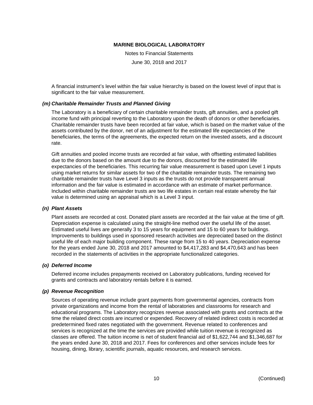Notes to Financial Statements

June 30, 2018 and 2017

A financial instrument's level within the fair value hierarchy is based on the lowest level of input that is significant to the fair value measurement.

#### *(m) Charitable Remainder Trusts and Planned Giving*

The Laboratory is a beneficiary of certain charitable remainder trusts, gift annuities, and a pooled gift income fund with principal reverting to the Laboratory upon the death of donors or other beneficiaries. Charitable remainder trusts have been recorded at fair value, which is based on the market value of the assets contributed by the donor, net of an adjustment for the estimated life expectancies of the beneficiaries, the terms of the agreements, the expected return on the invested assets, and a discount rate.

Gift annuities and pooled income trusts are recorded at fair value, with offsetting estimated liabilities due to the donors based on the amount due to the donors, discounted for the estimated life expectancies of the beneficiaries. This recurring fair value measurement is based upon Level 1 inputs using market returns for similar assets for two of the charitable remainder trusts. The remaining two charitable remainder trusts have Level 3 inputs as the trusts do not provide transparent annual information and the fair value is estimated in accordance with an estimate of market performance. Included within charitable remainder trusts are two life estates in certain real estate whereby the fair value is determined using an appraisal which is a Level 3 input.

#### *(n) Plant Assets*

Plant assets are recorded at cost. Donated plant assets are recorded at the fair value at the time of gift. Depreciation expense is calculated using the straight-line method over the useful life of the asset. Estimated useful lives are generally 3 to 15 years for equipment and 15 to 60 years for buildings. Improvements to buildings used in sponsored research activities are depreciated based on the distinct useful life of each major building component. These range from 15 to 40 years. Depreciation expense for the years ended June 30, 2018 and 2017 amounted to \$4,417,283 and \$4,470,643 and has been recorded in the statements of activities in the appropriate functionalized categories.

#### *(o) Deferred Income*

Deferred income includes prepayments received on Laboratory publications, funding received for grants and contracts and laboratory rentals before it is earned.

#### *(p) Revenue Recognition*

Sources of operating revenue include grant payments from governmental agencies, contracts from private organizations and income from the rental of laboratories and classrooms for research and educational programs. The Laboratory recognizes revenue associated with grants and contracts at the time the related direct costs are incurred or expended. Recovery of related indirect costs is recorded at predetermined fixed rates negotiated with the government. Revenue related to conferences and services is recognized at the time the services are provided while tuition revenue is recognized as classes are offered. The tuition income is net of student financial aid of \$1,622,744 and \$1,346,687 for the years ended June 30, 2018 and 2017. Fees for conferences and other services include fees for housing, dining, library, scientific journals, aquatic resources, and research services.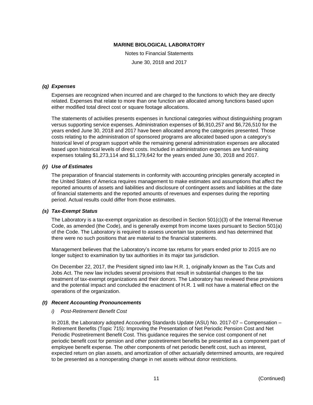Notes to Financial Statements June 30, 2018 and 2017

### *(q) Expenses*

Expenses are recognized when incurred and are charged to the functions to which they are directly related. Expenses that relate to more than one function are allocated among functions based upon either modified total direct cost or square footage allocations.

The statements of activities presents expenses in functional categories without distinguishing program versus supporting service expenses. Administration expenses of \$6,910,257 and \$6,726,510 for the years ended June 30, 2018 and 2017 have been allocated among the categories presented. Those costs relating to the administration of sponsored programs are allocated based upon a category's historical level of program support while the remaining general administration expenses are allocated based upon historical levels of direct costs. Included in administration expenses are fund-raising expenses totaling \$1,273,114 and \$1,179,642 for the years ended June 30, 2018 and 2017.

# *(r) Use of Estimates*

The preparation of financial statements in conformity with accounting principles generally accepted in the United States of America requires management to make estimates and assumptions that affect the reported amounts of assets and liabilities and disclosure of contingent assets and liabilities at the date of financial statements and the reported amounts of revenues and expenses during the reporting period. Actual results could differ from those estimates.

#### *(s) Tax-Exempt Status*

The Laboratory is a tax-exempt organization as described in Section 501(c)(3) of the Internal Revenue Code, as amended (the Code), and is generally exempt from income taxes pursuant to Section 501(a) of the Code. The Laboratory is required to assess uncertain tax positions and has determined that there were no such positions that are material to the financial statements.

Management believes that the Laboratory's income tax returns for years ended prior to 2015 are no longer subject to examination by tax authorities in its major tax jurisdiction.

On December 22, 2017, the President signed into law H.R. 1, originally known as the Tax Cuts and Jobs Act. The new law includes several provisions that result in substantial changes to the tax treatment of tax-exempt organizations and their donors. The Laboratory has reviewed these provisions and the potential impact and concluded the enactment of H.R. 1 will not have a material effect on the operations of the organization.

# *(t) Recent Accounting Pronouncements*

#### *i) Post-Retirement Benefit Cost*

In 2018, the Laboratory adopted Accounting Standards Update (ASU) No. 2017-07 – Compensation – Retirement Benefits (Topic 715): Improving the Presentation of Net Periodic Pension Cost and Net Periodic Postretirement Benefit Cost. This guidance requires the service cost component of net periodic benefit cost for pension and other postretirement benefits be presented as a component part of employee benefit expense. The other components of net periodic benefit cost, such as interest, expected return on plan assets, and amortization of other actuarially determined amounts, are required to be presented as a nonoperating change in net assets without donor restrictions.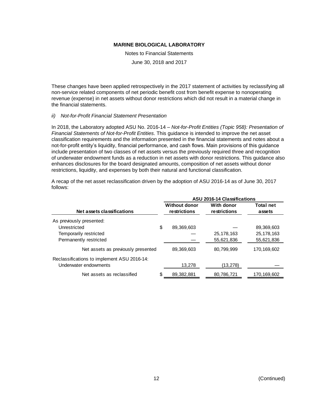Notes to Financial Statements

June 30, 2018 and 2017

These changes have been applied retrospectively in the 2017 statement of activities by reclassifying all non-service related components of net periodic benefit cost from benefit expense to nonoperating revenue (expense) in net assets without donor restrictions which did not result in a material change in the financial statements.

#### *ii) Not-for-Profit Financial Statement Presentation*

In 2018, the Laboratory adopted ASU No. 2016-14 – *Not-for-Profit Entities (Topic 958): Presentation of Financial Statements of Not-for-Profit Entities*. This guidance is intended to improve the net asset classification requirements and the information presented in the financial statements and notes about a not-for-profit entity's liquidity, financial performance, and cash flows. Main provisions of this guidance include presentation of two classes of net assets versus the previously required three and recognition of underwater endowment funds as a reduction in net assets with donor restrictions. This guidance also enhances disclosures for the board designated amounts, composition of net assets without donor restrictions, liquidity, and expenses by both their natural and functional classification.

|                                             |    |                                      | <b>ASU 2016-14 Classifications</b> |                            |
|---------------------------------------------|----|--------------------------------------|------------------------------------|----------------------------|
| Net assets classifications                  |    | <b>Without donor</b><br>restrictions | <b>With donor</b><br>restrictions  | <b>Total net</b><br>assets |
| As previously presented:                    |    |                                      |                                    |                            |
| Unrestricted                                | \$ | 89,369,603                           |                                    | 89,369,603                 |
| Temporarily restricted                      |    |                                      | 25, 178, 163                       | 25, 178, 163               |
| Permanently restricted                      |    |                                      | 55,621,836                         | 55,621,836                 |
| Net assets as previously presented          |    | 89.369.603                           | 80,799,999                         | 170,169,602                |
| Reclassifications to implement ASU 2016-14: |    |                                      |                                    |                            |
| Underwater endowments                       |    | 13,278                               | (13, 278)                          |                            |
| Net assets as reclassified                  | S  | 89.382.881                           | 80.786.721                         | 170.169.602                |

A recap of the net asset reclassification driven by the adoption of ASU 2016-14 as of June 30, 2017 follows: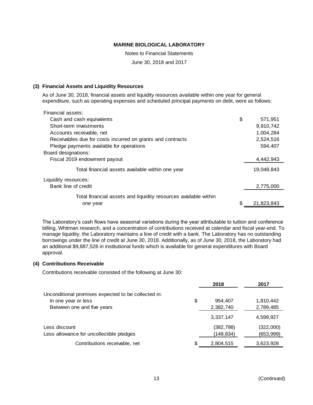Notes to Financial Statements

June 30, 2018 and 2017

#### **(3) Financial Assets and Liquidity Resources**

As of June 30, 2018, financial assets and liquidity resources available within one year for general expenditure, such as operating expenses and scheduled principal payments on debt, were as follows:

| Financial assets:                                               |    |            |
|-----------------------------------------------------------------|----|------------|
| Cash and cash equivalents                                       | \$ | 571.951    |
| Short-term investments                                          |    | 9,910,742  |
| Accounts receivable, net                                        |    | 1,004,284  |
| Receivables due for costs incurred on grants and contracts      |    | 2,524,516  |
| Pledge payments available for operations                        |    | 594,407    |
| Board designations:                                             |    |            |
| Fiscal 2019 endowment payout                                    |    | 4,442,943  |
| Total financial assets available within one year                |    | 19,048,843 |
| Liquidity resources:                                            |    |            |
| Bank line of credit                                             |    | 2,775,000  |
| Total financial assets and liquidity resources available within |    |            |
| one year                                                        | S  | 21,823,843 |

The Laboratory's cash flows have seasonal variations during the year attributable to tuition and conference billing, Whitman research, and a concentration of contributions received at calendar and fiscal year-end. To manage liquidity, the Laboratory maintains a line of credit with a bank. The Laboratory has no outstanding borrowings under the line of credit at June 30, 2018. Additionally, as of June 30, 2018, the Laboratory had an additional \$9,887,526 in institutional funds which is available for general expenditures with Board approval.

#### **(4) Contributions Receivable**

Contributions receivable consisted of the following at June 30:

|                                                     | 2018          | 2017       |
|-----------------------------------------------------|---------------|------------|
| Unconditional promises expected to be collected in: |               |            |
| In one year or less                                 | \$<br>954.407 | 1,810,442  |
| Between one and five years                          | 2,382,740     | 2,789,485  |
|                                                     | 3,337,147     | 4,599,927  |
| Less discount                                       | (382, 798)    | (322,000)  |
| Less allowance for uncollectible pledges            | (149, 834)    | (653, 999) |
| Contributions receivable, net                       | 2,804,515     | 3,623,928  |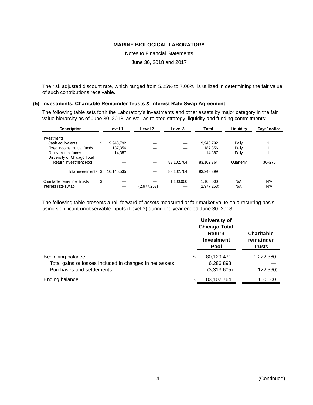Notes to Financial Statements

June 30, 2018 and 2017

The risk adjusted discount rate, which ranged from 5.25% to 7.00%, is utilized in determining the fair value of such contributions receivable.

#### **(5) Investments, Charitable Remainder Trusts & Interest Rate Swap Agreement**

The following table sets forth the Laboratory's investments and other assets by major category in the fair value hierarchy as of June 30, 2018, as well as related strategy, liquidity and funding commitments:

| <b>Description</b>                                |    | Level 1    | Level 2     | Level 3    | Total                    | Liquidity                | Days' notice             |  |
|---------------------------------------------------|----|------------|-------------|------------|--------------------------|--------------------------|--------------------------|--|
| Investments:                                      |    |            |             |            |                          |                          |                          |  |
| Cash equivalents                                  | \$ | 9,943,792  |             |            | 9,943,792                | Daily                    |                          |  |
| Fixed income mutual funds                         |    | 187,356    |             |            | 187.356                  | Daily                    |                          |  |
| Equity mutual funds                               |    | 14.387     |             |            | 14.387                   | Daily                    |                          |  |
| University of Chicago Total                       |    |            |             |            |                          |                          |                          |  |
| Return Investment Pool                            |    |            |             | 83,102,764 | 83,102,764               | Quarterly                | $30 - 270$               |  |
| Total investments                                 | -S | 10,145,535 |             | 83,102,764 | 93,248,299               |                          |                          |  |
| Charitable remainder trusts<br>Interest rate swap | \$ |            | (2,977,253) | 1,100,000  | 1.100.000<br>(2,977,253) | <b>N/A</b><br><b>N/A</b> | <b>N/A</b><br><b>N/A</b> |  |
|                                                   |    |            |             |            |                          |                          |                          |  |

The following table presents a roll-forward of assets measured at fair market value on a recurring basis using significant unobservable inputs (Level 3) during the year ended June 30, 2018.

|                                                                                                           | University of<br><b>Chicago Total</b>        |                                   |
|-----------------------------------------------------------------------------------------------------------|----------------------------------------------|-----------------------------------|
|                                                                                                           | Return<br>Investment<br><b>Pool</b>          | Charitable<br>remainder<br>trusts |
| Beginning balance<br>Total gains or losses included in changes in net assets<br>Purchases and settlements | \$<br>80,129,471<br>6,286,898<br>(3,313,605) | 1,222,360<br>(122, 360)           |
| Ending balance                                                                                            | 83, 102, 764                                 | 1,100,000                         |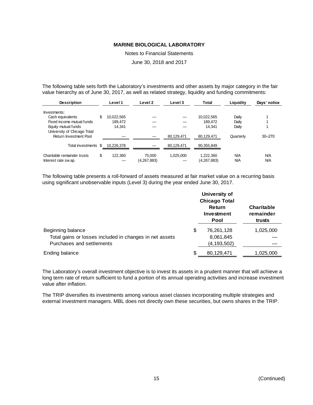Notes to Financial Statements

June 30, 2018 and 2017

The following table sets forth the Laboratory's investments and other assets by major category in the fair value hierarchy as of June 30, 2017, as well as related strategy, liquidity and funding commitments:

| <b>Description</b>          |    | Level 1    | Level 2     | Level 3 |            | Total |               | Liauidity | Days' notice |            |
|-----------------------------|----|------------|-------------|---------|------------|-------|---------------|-----------|--------------|------------|
| Investments:                |    |            |             |         |            |       |               |           |              |            |
| Cash equivalents            | \$ | 10,022,565 |             |         |            |       | 10,022,565    |           | Dailv        |            |
| Fixed income mutual funds   |    | 189.472    |             |         |            |       | 189.472       |           | Daily        |            |
| Equity mutual funds         |    | 14.341     |             |         |            |       | 14.341        |           | Daily        |            |
| University of Chicago Total |    |            |             |         |            |       |               |           |              |            |
| Return Investment Pool      |    |            |             |         | 80,129,471 |       | 80.129.471    |           | Quarterly    | $30 - 270$ |
|                             |    |            |             |         |            |       |               |           |              |            |
| Total investments           | -S | 10,226,378 |             |         | 80,129,471 |       | 90,355,849    |           |              |            |
|                             |    |            |             |         |            |       |               |           |              |            |
| Charitable remainder trusts | \$ | 122.360    | 75,000      |         | 1,025,000  |       | 1.222.360     |           | N/A          | N/A        |
| Interest rate swap          |    |            | (4,267,883) |         |            |       | (4, 267, 883) |           | N/A          | <b>N/A</b> |
|                             |    |            |             |         |            |       |               |           |              |            |

The following table presents a roll-forward of assets measured at fair market value on a recurring basis using significant unobservable inputs (Level 3) during the year ended June 30, 2017.

|                                                                                                           | University of<br><b>Chicago Total</b>          |                                          |
|-----------------------------------------------------------------------------------------------------------|------------------------------------------------|------------------------------------------|
|                                                                                                           | <b>Return</b><br>Investment<br>Pool            | <b>Charitable</b><br>remainder<br>trusts |
| Beginning balance<br>Total gains or losses included in changes in net assets<br>Purchases and settlements | \$<br>76,261,128<br>8,061,845<br>(4, 193, 502) | 1,025,000                                |
| Ending balance                                                                                            | 80,129,471                                     | 1,025,000                                |

The Laboratory's overall investment objective is to invest its assets in a prudent manner that will achieve a long term rate of return sufficient to fund a portion of its annual operating activities and increase investment value after inflation.

The TRIP diversifies its investments among various asset classes incorporating multiple strategies and external investment managers. MBL does not directly own these securities, but owns shares in the TRIP.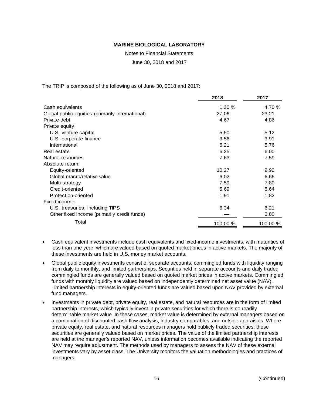Notes to Financial Statements

June 30, 2018 and 2017

The TRIP is composed of the following as of June 30, 2018 and 2017:

|                                                  | 2018     | 2017     |
|--------------------------------------------------|----------|----------|
| Cash equivalents                                 | 1.30 %   | 4.70 %   |
| Global public equities (primarily international) | 27.06    | 23.21    |
| Private debt                                     | 4.67     | 4.86     |
| Private equity:                                  |          |          |
| U.S. venture capital                             | 5.50     | 5.12     |
| U.S. corporate finance                           | 3.56     | 3.91     |
| International                                    | 6.21     | 5.76     |
| Real estate                                      | 6.25     | 6.00     |
| Natural resources                                | 7.63     | 7.59     |
| Absolute return:                                 |          |          |
| Equity-oriented                                  | 10.27    | 9.92     |
| Global macro/relative value                      | 6.02     | 6.66     |
| Multi-strategy                                   | 7.59     | 7.80     |
| Credit-oriented                                  | 5.69     | 5.64     |
| Protection-oriented                              | 1.91     | 1.82     |
| Fixed income:                                    |          |          |
| U.S. treasuries, including TIPS                  | 6.34     | 6.21     |
| Other fixed income (primarily credit funds)      |          | 0.80     |
| Total                                            | 100.00 % | 100.00 % |

- Cash equivalent investments include cash equivalents and fixed-income investments, with maturities of less than one year, which are valued based on quoted market prices in active markets. The majority of these investments are held in U.S. money market accounts.
- Global public equity investments consist of separate accounts, commingled funds with liquidity ranging from daily to monthly, and limited partnerships. Securities held in separate accounts and daily traded commingled funds are generally valued based on quoted market prices in active markets. Commingled funds with monthly liquidity are valued based on independently determined net asset value (NAV). Limited partnership interests in equity-oriented funds are valued based upon NAV provided by external fund managers.
- Investments in private debt, private equity, real estate, and natural resources are in the form of limited partnership interests, which typically invest in private securities for which there is no readily determinable market value. In these cases, market value is determined by external managers based on a combination of discounted cash flow analysis, industry comparables, and outside appraisals. Where private equity, real estate, and natural resources managers hold publicly traded securities, these securities are generally valued based on market prices. The value of the limited partnership interests are held at the manager's reported NAV, unless information becomes available indicating the reported NAV may require adjustment. The methods used by managers to assess the NAV of these external investments vary by asset class. The University monitors the valuation methodologies and practices of managers.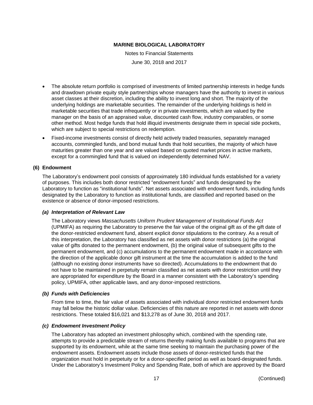Notes to Financial Statements

June 30, 2018 and 2017

- The absolute return portfolio is comprised of investments of limited partnership interests in hedge funds and drawdown private equity style partnerships whose managers have the authority to invest in various asset classes at their discretion, including the ability to invest long and short. The majority of the underlying holdings are marketable securities. The remainder of the underlying holdings is held in marketable securities that trade infrequently or in private investments, which are valued by the manager on the basis of an appraised value, discounted cash flow, industry comparables, or some other method. Most hedge funds that hold illiquid investments designate them in special side pockets, which are subject to special restrictions on redemption.
- Fixed-income investments consist of directly held actively traded treasuries, separately managed accounts, commingled funds, and bond mutual funds that hold securities, the majority of which have maturities greater than one year and are valued based on quoted market prices in active markets, except for a commingled fund that is valued on independently determined NAV.

# **(6) Endowment**

The Laboratory's endowment pool consists of approximately 180 individual funds established for a variety of purposes. This includes both donor restricted "endowment funds" and funds designated by the Laboratory to function as "institutional funds". Net assets associated with endowment funds, including funds designated by the Laboratory to function as institutional funds, are classified and reported based on the existence or absence of donor-imposed restrictions.

#### *(a) Interpretation of Relevant Law*

The Laboratory views *Massachusetts Uniform Prudent Management of Institutional Funds Act* (UPMIFA) as requiring the Laboratory to preserve the fair value of the original gift as of the gift date of the donor-restricted endowment fund, absent explicit donor stipulations to the contrary. As a result of this interpretation, the Laboratory has classified as net assets with donor restrictions (a) the original value of gifts donated to the permanent endowment, (b) the original value of subsequent gifts to the permanent endowment, and (c) accumulations to the permanent endowment made in accordance with the direction of the applicable donor gift instrument at the time the accumulation is added to the fund (although no existing donor instruments have so directed). Accumulations to the endowment that do not have to be maintained in perpetuity remain classified as net assets with donor restriction until they are appropriated for expenditure by the Board in a manner consistent with the Laboratory's spending policy, UPMIFA, other applicable laws, and any donor-imposed restrictions.

#### *(b) Funds with Deficiencies*

From time to time, the fair value of assets associated with individual donor restricted endowment funds may fall below the historic dollar value. Deficiencies of this nature are reported in net assets with donor restrictions. These totaled \$16,021 and \$13,278 as of June 30, 2018 and 2017.

#### *(c) Endowment Investment Policy*

The Laboratory has adopted an investment philosophy which, combined with the spending rate, attempts to provide a predictable stream of returns thereby making funds available to programs that are supported by its endowment, while at the same time seeking to maintain the purchasing power of the endowment assets. Endowment assets include those assets of donor-restricted funds that the organization must hold in perpetuity or for a donor-specified period as well as board-designated funds. Under the Laboratory's Investment Policy and Spending Rate, both of which are approved by the Board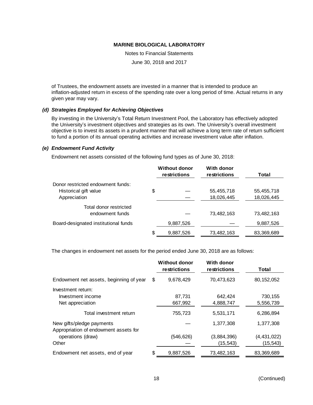Notes to Financial Statements

June 30, 2018 and 2017

of Trustees, the endowment assets are invested in a manner that is intended to produce an inflation-adjusted return in excess of the spending rate over a long period of time. Actual returns in any given year may vary.

## *(d) Strategies Employed for Achieving Objectives*

By investing in the University's Total Return Investment Pool, the Laboratory has effectively adopted the University's investment objectives and strategies as its own. The University's overall investment objective is to invest its assets in a prudent manner that will achieve a long term rate of return sufficient to fund a portion of its annual operating activities and increase investment value after inflation.

#### *(e) Endowment Fund Activity*

Endowment net assets consisted of the following fund types as of June 30, 2018:

| restrictions    | With donor<br>restrictions | Total      |
|-----------------|----------------------------|------------|
|                 |                            |            |
| \$              | 55,455,718                 | 55,455,718 |
|                 | 18,026,445                 | 18,026,445 |
|                 |                            |            |
|                 | 73,482,163                 | 73,482,163 |
| 9,887,526       |                            | 9,887,526  |
| \$<br>9,887,526 | 73,482,163                 | 83,369,689 |
|                 | <b>Without donor</b>       |            |

The changes in endowment net assets for the period ended June 30, 2018 are as follows:

|                                                                    |    | <b>Without donor</b><br>restrictions | With donor<br>restrictions | Total                      |
|--------------------------------------------------------------------|----|--------------------------------------|----------------------------|----------------------------|
| Endowment net assets, beginning of year                            | S  | 9,678,429                            | 70,473,623                 | 80, 152, 052               |
| Investment return:<br>Investment income<br>Net appreciation        |    | 87,731<br>667,992                    | 642,424<br>4,888,747       | 730,155<br>5,556,739       |
| Total investment return                                            |    | 755,723                              | 5,531,171                  | 6,286,894                  |
| New gifts/pledge payments<br>Appropriation of endowment assets for |    |                                      | 1,377,308                  | 1,377,308                  |
| operations (draw)<br>Other                                         |    | (546, 626)                           | (3,884,396)<br>(15, 543)   | (4, 431, 022)<br>(15, 543) |
| Endowment net assets, end of year                                  | \$ | 9,887,526                            | 73,482,163                 | 83,369,689                 |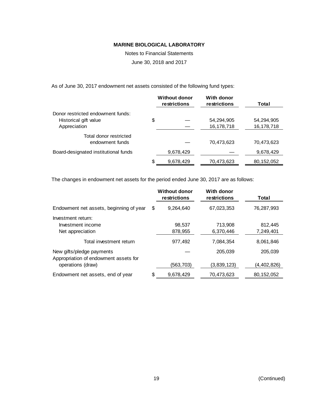Notes to Financial Statements

June 30, 2018 and 2017

As of June 30, 2017 endowment net assets consisted of the following fund types:

|                                                                            | <b>Without donor</b><br>restrictions | With donor<br>restrictions | Total                    |
|----------------------------------------------------------------------------|--------------------------------------|----------------------------|--------------------------|
| Donor restricted endowment funds:<br>Historical gift value<br>Appreciation | \$                                   | 54,294,905<br>16, 178, 718 | 54,294,905<br>16,178,718 |
| Total donor restricted<br>endowment funds                                  |                                      | 70,473,623                 | 70,473,623               |
| Board-designated institutional funds                                       | 9,678,429                            |                            | 9,678,429                |
|                                                                            | \$<br>9,678,429                      | 70,473,623                 | 80, 152, 052             |

The changes in endowment net assets for the period ended June 30, 2017 are as follows:

|                                                                    | <b>Without donor</b><br>restrictions | With donor<br>restrictions | Total        |
|--------------------------------------------------------------------|--------------------------------------|----------------------------|--------------|
| Endowment net assets, beginning of year                            | \$<br>9,264,640                      | 67,023,353                 | 76,287,993   |
| Investment return:<br>Investment income                            | 98,537                               | 713,908                    | 812,445      |
| Net appreciation                                                   | 878,955                              | 6,370,446                  | 7,249,401    |
| Total investment return                                            | 977,492                              | 7,084,354                  | 8,061,846    |
| New gifts/pledge payments<br>Appropriation of endowment assets for |                                      | 205,039                    | 205,039      |
| operations (draw)                                                  | (563,703)                            | (3,839,123)                | (4,402,826)  |
| Endowment net assets, end of year                                  | \$<br>9,678,429                      | 70,473,623                 | 80, 152, 052 |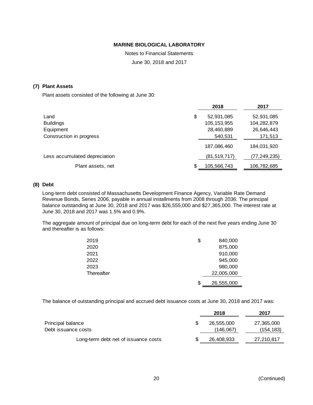Notes to Financial Statements

June 30, 2018 and 2017

#### **(7) Plant Assets**

Plant assets consisted of the following at June 30:

|                               | 2018             | 2017         |
|-------------------------------|------------------|--------------|
| Land                          | \$<br>52,931,085 | 52,931,085   |
| <b>Buildings</b>              | 105, 153, 955    | 104,282,879  |
| Equipment                     | 28,460,889       | 26,646,443   |
| Construction in progress      | 540,531          | 171,513      |
|                               | 187,086,460      | 184,031,920  |
| Less accumulated depreciation | (81, 519, 717)   | (77,249,235) |
| Plant assets, net             | 105,566,743      | 106,782,685  |

#### **(8) Debt**

Long-term debt consisted of Massachusetts Development Finance Agency, Variable Rate Demand Revenue Bonds, Series 2006, payable in annual installments from 2008 through 2036. The principal balance outstanding at June 30, 2018 and 2017 was \$26,555,000 and \$27,365,000. The interest rate at June 30, 2018 and 2017 was 1.5% and 0.9%.

The aggregate amount of principal due on long-term debt for each of the next five years ending June 30 and thereafter is as follows:

| 2019       | \$<br>840,000    |
|------------|------------------|
| 2020       | 875,000          |
| 2021       | 910,000          |
| 2022       | 945,000          |
| 2023       | 980,000          |
| Thereafter | 22,005,000       |
|            | \$<br>26,555,000 |

The balance of outstanding principal and accrued debt issuance costs at June 30, 2018 and 2017 was:

|                                      | 2018       | 2017       |
|--------------------------------------|------------|------------|
| Principal balance                    | 26,555,000 | 27,365,000 |
| Debt issuance costs                  | (146,067)  | (154, 183) |
| Long-term debt net of issuance costs | 26,408,933 | 27,210,817 |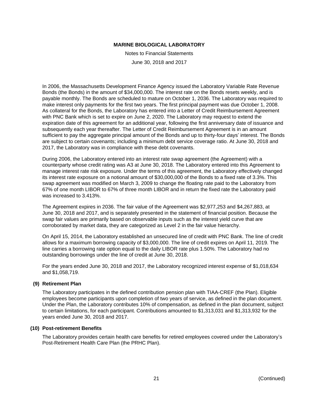Notes to Financial Statements

June 30, 2018 and 2017

In 2006, the Massachusetts Development Finance Agency issued the Laboratory Variable Rate Revenue Bonds (the Bonds) in the amount of \$34,000,000. The interest rate on the Bonds resets weekly, and is payable monthly. The Bonds are scheduled to mature on October 1, 2036. The Laboratory was required to make interest only payments for the first two years. The first principal payment was due October 1, 2008. As collateral for the Bonds, the Laboratory has entered into a Letter of Credit Reimbursement Agreement with PNC Bank which is set to expire on June 2, 2020. The Laboratory may request to extend the expiration date of this agreement for an additional year, following the first anniversary date of issuance and subsequently each year thereafter. The Letter of Credit Reimbursement Agreement is in an amount sufficient to pay the aggregate principal amount of the Bonds and up to thirty-four days' interest. The Bonds are subject to certain covenants; including a minimum debt service coverage ratio. At June 30, 2018 and 2017, the Laboratory was in compliance with these debt covenants.

During 2006, the Laboratory entered into an interest rate swap agreement (the Agreement) with a counterparty whose credit rating was A3 at June 30, 2018. The Laboratory entered into this Agreement to manage interest rate risk exposure. Under the terms of this agreement, the Laboratory effectively changed its interest rate exposure on a notional amount of \$30,000,000 of the Bonds to a fixed rate of 3.3%. This swap agreement was modified on March 3, 2009 to change the floating rate paid to the Laboratory from 67% of one month LIBOR to 67% of three month LIBOR and in return the fixed rate the Laboratory paid was increased to 3.413%.

The Agreement expires in 2036. The fair value of the Agreement was \$2,977,253 and \$4,267,883, at June 30, 2018 and 2017, and is separately presented in the statement of financial position. Because the swap fair values are primarily based on observable inputs such as the interest yield curve that are corroborated by market data, they are categorized as Level 2 in the fair value hierarchy.

On April 15, 2014, the Laboratory established an unsecured line of credit with PNC Bank. The line of credit allows for a maximum borrowing capacity of \$3,000,000. The line of credit expires on April 11, 2019. The line carries a borrowing rate option equal to the daily LIBOR rate plus 1.50%. The Laboratory had no outstanding borrowings under the line of credit at June 30, 2018.

For the years ended June 30, 2018 and 2017, the Laboratory recognized interest expense of \$1,018,634 and \$1,058,719.

#### **(9) Retirement Plan**

The Laboratory participates in the defined contribution pension plan with TIAA-CREF (the Plan). Eligible employees become participants upon completion of two years of service, as defined in the plan document. Under the Plan, the Laboratory contributes 10% of compensation, as defined in the plan document, subject to certain limitations, for each participant. Contributions amounted to \$1,313,031 and \$1,313,932 for the years ended June 30, 2018 and 2017.

#### **(10) Post-retirement Benefits**

The Laboratory provides certain health care benefits for retired employees covered under the Laboratory's Post-Retirement Health Care Plan (the PRHC Plan).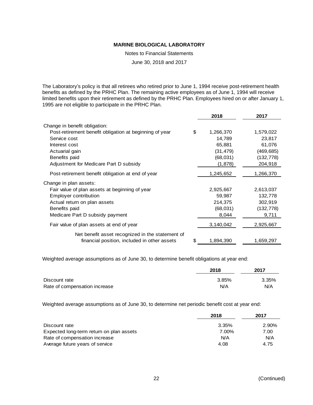Notes to Financial Statements

June 30, 2018 and 2017

The Laboratory's policy is that all retirees who retired prior to June 1, 1994 receive post-retirement health benefits as defined by the PRHC Plan. The remaining active employees as of June 1, 1994 will receive limited benefits upon their retirement as defined by the PRHC Plan. Employees hired on or after January 1, 1995 are not eligible to participate in the PRHC Plan.

|                                                         | 2018            | 2017       |
|---------------------------------------------------------|-----------------|------------|
| Change in benefit obligation:                           |                 |            |
| Post-retirement benefit obligation at beginning of year | \$<br>1,266,370 | 1,579,022  |
| Service cost                                            | 14,789          | 23,817     |
| Interest cost                                           | 65,881          | 61,076     |
| Actuarial gain                                          | (31, 479)       | (469, 685) |
| Benefits paid                                           | (68, 031)       | (132, 778) |
| Adjustment for Medicare Part D subsidy                  | (1,878)         | 204,918    |
| Post-retirement benefit obligation at end of year       | 1,245,652       | 1,266,370  |
| Change in plan assets:                                  |                 |            |
| Fair value of plan assets at beginning of year          | 2,925,667       | 2,613,037  |
| <b>Employer contribution</b>                            | 59,987          | 132,778    |
| Actual return on plan assets                            | 214,375         | 302,919    |
| Benefits paid                                           | (68,031)        | (132, 778) |
| Medicare Part D subsidy payment                         | 8,044           | 9,711      |
| Fair value of plan assets at end of year                | 3,140,042       | 2,925,667  |
| Net benefit asset recognized in the statement of        |                 |            |
| financial position, included in other assets            | \$<br>1,894,390 | 1,659,297  |

Weighted average assumptions as of June 30, to determine benefit obligations at year end:

|                               | 2018  | 2017  |
|-------------------------------|-------|-------|
| Discount rate                 | 3.85% | 3.35% |
| Rate of compensation increase | N/A   | N/A   |

Weighted average assumptions as of June 30, to determine net periodic benefit cost at year end:

|                                          | 2018  | 2017  |
|------------------------------------------|-------|-------|
| Discount rate                            | 3.35% | 2.90% |
| Expected long-term return on plan assets | 7.00% | 7.00  |
| Rate of compensation increase            | N/A   | N/A   |
| Average future years of service          | 4.08  | 4.75  |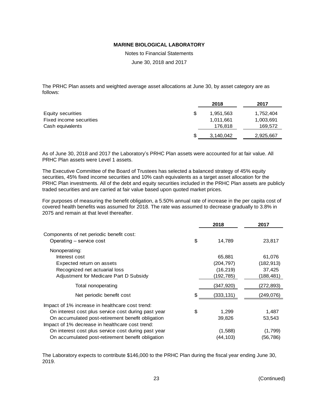Notes to Financial Statements

June 30, 2018 and 2017

The PRHC Plan assets and weighted average asset allocations at June 30, by asset category are as follows:

|                         |   | 2018      | 2017      |
|-------------------------|---|-----------|-----------|
| Equity securities       | S | 1,951,563 | 1,752,404 |
| Fixed income securities |   | 1,011,661 | 1,003,691 |
| Cash equivalents        |   | 176.818   | 169,572   |
|                         |   | 3,140,042 | 2,925,667 |

As of June 30, 2018 and 2017 the Laboratory's PRHC Plan assets were accounted for at fair value. All PRHC Plan assets were Level 1 assets.

The Executive Committee of the Board of Trustees has selected a balanced strategy of 45% equity securities, 45% fixed income securities and 10% cash equivalents as a target asset allocation for the PRHC Plan investments. All of the debt and equity securities included in the PRHC Plan assets are publicly traded securities and are carried at fair value based upon quoted market prices.

For purposes of measuring the benefit obligation, a 5.50% annual rate of increase in the per capita cost of covered health benefits was assumed for 2018. The rate was assumed to decrease gradually to 3.8% in 2075 and remain at that level thereafter.

|                                                                                                                                                                                                                                                                                                                            | 2018                                           | 2017                                        |
|----------------------------------------------------------------------------------------------------------------------------------------------------------------------------------------------------------------------------------------------------------------------------------------------------------------------------|------------------------------------------------|---------------------------------------------|
| Components of net periodic benefit cost:<br>Operating - service cost                                                                                                                                                                                                                                                       | \$<br>14,789                                   | 23,817                                      |
| Nonoperating:<br>Interest cost<br>Expected return on assets<br>Recognized net actuarial loss<br>Adjustment for Medicare Part D Subsidy                                                                                                                                                                                     | 65,881<br>(204, 797)<br>(16, 219)<br>(192,785) | 61,076<br>(182, 913)<br>37,425<br>(188,481) |
| Total nonoperating                                                                                                                                                                                                                                                                                                         | (347,920)                                      | (272,893)                                   |
| Net periodic benefit cost                                                                                                                                                                                                                                                                                                  | \$<br>(333, 131)                               | (249,076)                                   |
| Impact of 1% increase in healthcare cost trend:<br>On interest cost plus service cost during past year<br>On accumulated post-retirement benefit obligation<br>Impact of 1% decrease in healthcare cost trend:<br>On interest cost plus service cost during past year<br>On accumulated post-retirement benefit obligation | \$<br>1,299<br>39,826<br>(1,588)<br>(44,103)   | 1,487<br>53,543<br>(1,799)<br>(56,786)      |
|                                                                                                                                                                                                                                                                                                                            |                                                |                                             |

The Laboratory expects to contribute \$146,000 to the PRHC Plan during the fiscal year ending June 30, 2019.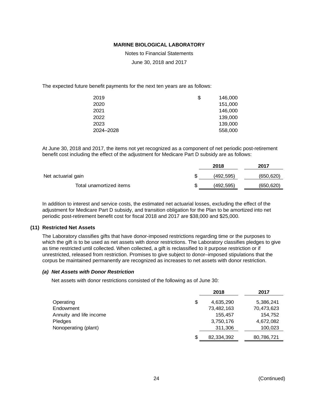Notes to Financial Statements

June 30, 2018 and 2017

The expected future benefit payments for the next ten years are as follows:

| 151,000 |
|---------|
| 146,000 |
| 139,000 |
| 139,000 |
| 558,000 |
|         |

At June 30, 2018 and 2017, the items not yet recognized as a component of net periodic post-retirement benefit cost including the effect of the adjustment for Medicare Part D subsidy are as follows:

|                         | 2018       | 2017       |  |
|-------------------------|------------|------------|--|
| Net actuarial gain      | (492, 595) | (650, 620) |  |
| Total unamortized items | (492, 595) | (650, 620) |  |

In addition to interest and service costs, the estimated net actuarial losses, excluding the effect of the adjustment for Medicare Part D subsidy, and transition obligation for the Plan to be amortized into net periodic post-retirement benefit cost for fiscal 2018 and 2017 are \$38,000 and \$25,000.

#### **(11) Restricted Net Assets**

The Laboratory classifies gifts that have donor-imposed restrictions regarding time or the purposes to which the gift is to be used as net assets with donor restrictions. The Laboratory classifies pledges to give as time restricted until collected. When collected, a gift is reclassified to it purpose restriction or if unrestricted, released from restriction. Promises to give subject to donor–imposed stipulations that the corpus be maintained permanently are recognized as increases to net assets with donor restriction.

#### *(a) Net Assets with Donor Restriction*

Net assets with donor restrictions consisted of the following as of June 30:

|                         | 2018             | 2017       |
|-------------------------|------------------|------------|
| Operating               | \$<br>4,635,290  | 5,386,241  |
| Endowment               | 73,482,163       | 70,473,623 |
| Annuity and life income | 155.457          | 154,752    |
| Pledges                 | 3,750,176        | 4,672,082  |
| Nonoperating (plant)    | 311,306          | 100,023    |
|                         | \$<br>82,334,392 | 80,786,721 |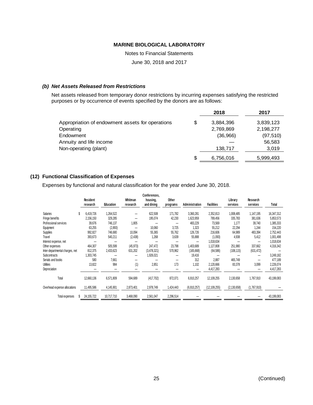Notes to Financial Statements

June 30, 2018 and 2017

#### *(b) Net Assets Released from Restrictions*

Net assets released from temporary donor restrictions by incurring expenses satisfying the restricted purposes or by occurrence of events specified by the donors are as follows:

|                                                  | 2018            | 2017      |
|--------------------------------------------------|-----------------|-----------|
| Appropriation of endowment assets for operations | \$<br>3,884,396 | 3,839,123 |
| Operating                                        | 2,769,869       | 2,198,277 |
| Endowment                                        | (36,966)        | (97, 510) |
| Annuity and life income                          |                 | 56,583    |
| Non-operating (plant)                            | 138,717         | 3,019     |
|                                                  | \$<br>6,756,016 | 5,999,493 |

# **(12) Functional Classification of Expenses**

Expenses by functional and natural classification for the year ended June 30, 2018.

|                                 | Resident<br>research |         | <b>Education</b> | Whitman<br>research | Conferences,<br>housing,<br>and dining | Other<br>programs | Administration | <b>Facilities</b> | Library<br>services | Research<br>services | Total      |
|---------------------------------|----------------------|---------|------------------|---------------------|----------------------------------------|-------------------|----------------|-------------------|---------------------|----------------------|------------|
| <b>Salaries</b>                 | 6,419,726            |         | 1,264,522        |                     | 622,508                                | 171,782           | 3,360,281      | 2,352,813         | 1,008,485           | 1,147,195            | 16,347,312 |
| Fringe benefits                 | 2,156,150            |         | 329,285          |                     | 195,074                                | 42,230            | 1,623,959      | 789,456           | 335,783             | 381,636              | 5,853,573  |
| Professional services           |                      | 39,676  | 746,137          | 1,805               |                                        |                   | 483,229        | 73,569            | 1,177               | 39,740               | 1,385,333  |
| Equipment                       |                      | 63,255  | (2,893)          |                     | 10,060                                 | 3,725             | 1,323          | 55,212            | 22,294              | 1,244                | 154,220    |
| Supplies                        |                      | 992,827 | 746,680          | 10,094              | 55,365                                 | 55,762            | 126,726        | 216,606           | 64,989              | 483,394              | 2,752,443  |
| Travel                          |                      | 393,673 | 540,211          | (2, 438)            | 1,268                                  | 3,639             | 55,888         | (1,093)           | 4,938               | 5,412                | 1,001,498  |
| Interest expense, net           |                      |         |                  |                     |                                        |                   | -              | 1,018,634         |                     | -                    | 1,018,634  |
| Other expenses                  |                      | 464,307 | 505,599          | (45.973)            | 247,472                                | 23,798            | 1,403,689      | 1,127,808         | 251,980             | 337,662              | 4,316,342  |
| Inter-departmental charges, net |                      | 812,375 | 2,433,623        | 631,202             | (3,478,321)                            | 570,962           | (165, 668)     | (64, 586)         | (108, 115)          | (631, 472)           |            |
| Subcontracts                    | 1,303,745            |         |                  |                     | 1,926,021                              |                   | 19,416         |                   |                     |                      | 3,249,182  |
| Serials and books               |                      | 580     | 7,661            |                     |                                        |                   | 312            | 2,887             | 465,749             |                      | 477,189    |
| <b>Utilities</b>                |                      | 13,822  | 984              | (1)                 | 2,851                                  | 173               | 1,102          | 2,120,666         | 83,378              | 3,099                | 2,226,074  |
| Depreciation                    |                      |         | -                |                     |                                        |                   |                | 4,417,283         |                     |                      | 4,417,283  |
| Total                           | 12,660,136           |         | 6,571,809        | 594,689             | (417, 702)                             | 872,071           | 6,910,257      | 12,109,255        | 2,130,658           | 1,767,910            | 43,199,083 |
| Overhead expense allocations    | 11,495,586           |         | 4,145,901        | 2,873,401           | 2,978,749                              | 1,424,443         | (6,910,257)    | (12, 109, 255)    | (2, 130, 658)       | (1,767,910)          |            |
| Total expenses                  | 24, 155, 722         |         | 10,717,710       | 3,468,090           | 2,561,047                              | 2,296,514         |                |                   |                     |                      | 43,199,083 |